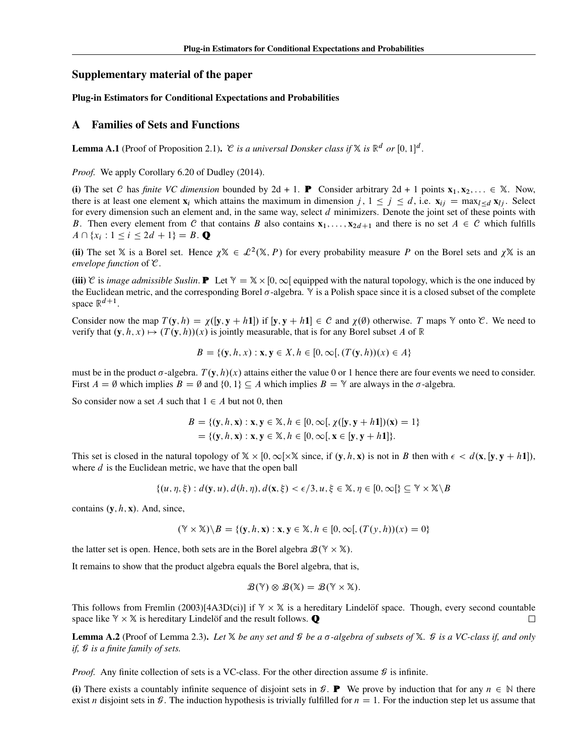## Supplementary material of the paper

## Plug-in Estimators for Conditional Expectations and Probabilities

## A Families of Sets and Functions

**Lemma A.1** (Proof of Proposition 2.1). C is a universal Donsker class if  $X$  is  $\mathbb{R}^d$  or  $[0,1]^d$ .

*Proof.* We apply Corollary 6.20 of Dudley (2014).

(i) The set C has *finite VC dimension* bounded by 2d + 1. **P** Consider arbitrary 2d + 1 points  $\mathbf{x}_1, \mathbf{x}_2, \ldots \in \mathbb{X}$ . Now, there is at least one element  $x_i$  which attains the maximum in dimension  $j, 1 \leq j \leq d$ , i.e.  $x_{ij} = \max_{l \leq d} x_{li}$ . Select for every dimension such an element and, in the same way, select d minimizers. Denote the joint set of these points with B. Then every element from C that contains B also contains  $\mathbf{x}_1,\ldots,\mathbf{x}_{2d+1}$  and there is no set  $A \in \mathcal{C}$  which fulfills  $A \cap \{x_i : 1 \le i \le 2d + 1\} = B.$  Q

(ii) The set X is a Borel set. Hence  $\chi X \in \mathcal{L}^2(X, P)$  for every probability measure P on the Borel sets and  $\chi X$  is an *envelope function* of C.

(iii)  $\mathcal C$  is *image admissible Suslin*. **P** Let  $\mathbb Y = \mathbb X \times [0, \infty[$  equipped with the natural topology, which is the one induced by the Euclidean metric, and the corresponding Borel  $\sigma$ -algebra.  $\gamma$  is a Polish space since it is a closed subset of the complete space  $\mathbb{R}^{d+1}$ .

Consider now the map  $T(y, h) = \chi([y, y + h1])$  if  $[y, y + h1] \in C$  and  $\chi(\emptyset)$  otherwise. T maps  $\mathbb{Y}$  onto  $\mathcal{C}$ . We need to verify that  $(y, h, x) \mapsto (T(y, h))(x)$  is jointly measurable, that is for any Borel subset A of R

$$
B = \{ (\mathbf{y}, h, x) : \mathbf{x}, \mathbf{y} \in X, h \in [0, \infty[, (T(\mathbf{y}, h))(x) \in A \}
$$

must be in the product  $\sigma$ -algebra.  $T(\mathbf{y}, h)(x)$  attains either the value 0 or 1 hence there are four events we need to consider. First  $A = \emptyset$  which implies  $B = \emptyset$  and  $\{0, 1\} \subseteq A$  which implies  $B = \mathbb{Y}$  are always in the  $\sigma$ -algebra.

So consider now a set A such that  $1 \in A$  but not 0, then

$$
B = \{ (y, h, x) : x, y \in \mathbb{X}, h \in [0, \infty[, \chi([y, y + h1])(x) = 1 \}
$$
  
=  $\{ (y, h, x) : x, y \in \mathbb{X}, h \in [0, \infty[, x \in [y, y + h1] \}.$ 

This set is closed in the natural topology of  $\mathbb{X} \times [0, \infty[\times \mathbb{X}$  since, if  $(y, h, x)$  is not in B then with  $\epsilon < d(x, [y, y + h1])$ , where  $d$  is the Euclidean metric, we have that the open ball

$$
\{(u, \eta, \xi) : d(\mathbf{y}, u), d(h, \eta), d(\mathbf{x}, \xi) < \epsilon/3, u, \xi \in \mathbb{X}, \eta \in [0, \infty] \} \subseteq \mathbb{Y} \times \mathbb{X} \setminus B
$$

contains  $(y, h, x)$ . And, since,

$$
(\mathbb{Y} \times \mathbb{X}) \setminus B = \{ (\mathbf{y}, h, \mathbf{x}) : \mathbf{x}, \mathbf{y} \in \mathbb{X}, h \in [0, \infty[, (T(y, h))(x) = 0 \}
$$

the latter set is open. Hence, both sets are in the Borel algebra  $\mathcal{B}(\mathbb{Y} \times \mathbb{X})$ .

It remains to show that the product algebra equals the Borel algebra, that is,

$$
\mathcal{B}(\mathbb{Y}) \otimes \mathcal{B}(\mathbb{X}) = \mathcal{B}(\mathbb{Y} \times \mathbb{X}).
$$

This follows from Fremlin (2003)[4A3D(ci)] if  $\mathbb{Y} \times \mathbb{X}$  is a hereditary Lindelöf space. Though, every second countable space like  $\mathbb{Y} \times \mathbb{X}$  is hereditary Lindelöf and the result follows.  $\mathbf{Q}$ П

Lemma A.2 (Proof of Lemma 2.3). *Let* X *be any set and* G *be a -algebra of subsets of* X*.* G *is a VC-class if, and only if,* G *is a finite family of sets.*

*Proof.* Any finite collection of sets is a VC-class. For the other direction assume  $\mathcal{G}$  is infinite.

(i) There exists a countably infinite sequence of disjoint sets in  $\mathcal{G}$ . **P** We prove by induction that for any  $n \in \mathbb{N}$  there exist n disjoint sets in  $\mathcal G$ . The induction hypothesis is trivially fulfilled for  $n = 1$ . For the induction step let us assume that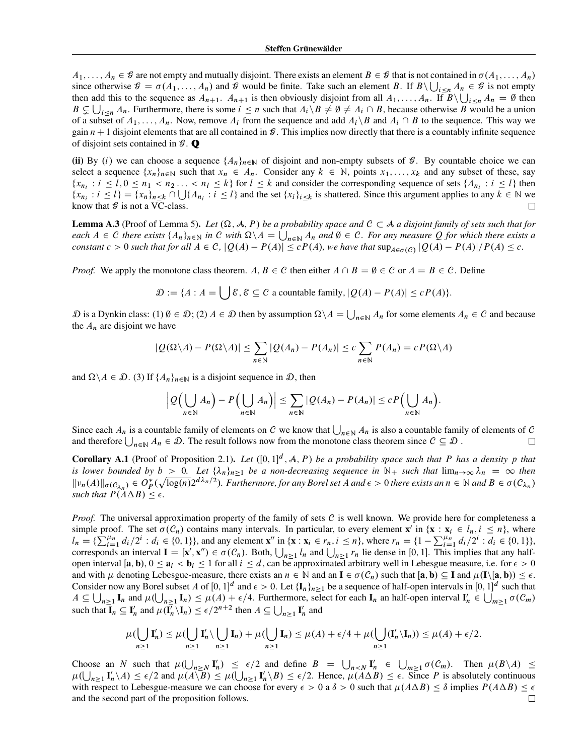$A_1, \ldots, A_n \in \mathcal{G}$  are not empty and mutually disjoint. There exists an element  $B \in \mathcal{G}$  that is not contained in  $\sigma(A_1, \ldots, A_n)$ since otherwise  $\mathcal{G} = \sigma(A_1, \ldots, A_n)$  and  $\mathcal{G}$  would be finite. Take such an element B. If  $B \setminus \bigcup_{i \leq n} A_i \in \mathcal{G}$  is not empty then add this to the sequence as  $A_{n+1}$ .  $A_{n+1}$  is then obviously disjoint from all  $A_1, \ldots, A_n$ . If  $B \setminus \bigcup_{i \leq n} A_n = \emptyset$  then  $B \subsetneq \bigcup_{i \leq n} A_n$ . Furthermore, there is some  $i \leq n$  such that  $A_i \setminus B \neq \emptyset \neq A_i \cap B$ , because otherwise B would be a union of a subset of  $A_1, \ldots, A_n$ . Now, remove  $A_i$  from the sequence and add  $A_i \setminus B$  and  $A_i \cap B$  to the sequence. This way we gain  $n+1$  disjoint elements that are all contained in  $\mathcal G$ . This implies now directly that there is a countably infinite sequence of disjoint sets contained in  $\mathcal{G}$ . **Q** 

(ii) By (i) we can choose a sequence  $\{A_n\}_{n\in\mathbb{N}}$  of disjoint and non-empty subsets of  $\mathcal{E}$ . By countable choice we can select a sequence  $\{x_n\}_{n\in\mathbb{N}}$  such that  $x_n \in A_n$ . Consider any  $k \in \mathbb{N}$ , points  $x_1, \ldots, x_k$  and any subset of these, say  $\{x_{n_i}: i \leq l, 0 \leq n_1 < n_2... < n_l \leq k\}$  for  $l \leq k$  and consider the corresponding sequence of sets  $\{A_{n_i}: i \leq l\}$  then  $\{x_{n_i}: i \leq l\} = \{x_n\}_{n \leq k} \cap \bigcup \{A_{n_i}: i \leq l\}$  and the set  $\{x_i\}_{i \leq k}$  is shattered. Since this argument applies to any  $k \in \mathbb{N}$  we know that  $\mathcal G$  is not a VC-class. □

**Lemma A.3** (Proof of Lemma 5). Let  $(\Omega, \mathcal{A}, P)$  be a probability space and  $C \subset \mathcal{A}$  a disjoint family of sets such that for  $\text{each } A \in \mathcal{C} \text{ there exists } \{A_n\}_{n\in\mathbb{N}} \text{ in } \mathcal{C} \text{ with } \Omega \setminus A = \bigcup_{n\in\mathbb{N}} A_n \text{ and } \emptyset \in \mathcal{C}. \text{ For any measure } Q \text{ for which there exists a } \Omega \text{ with } \Omega \setminus A \text{ and } \Omega \text{ is a } \Omega.$ *constant*  $c > 0$  *such that for all*  $A \in C$ ,  $|Q(A) - P(A)| \le cP(A)$ *, we have that*  $\sup_{A \in \sigma(C)} |Q(A) - P(A)|/P(A) \le c$ *.* 

*Proof.* We apply the monotone class theorem.  $A, B \in \mathcal{C}$  then either  $A \cap B = \emptyset \in \mathcal{C}$  or  $A = B \in \mathcal{C}$ . Define

 $\mathcal{D} := \{A : A = \left| \right| \, \mathcal{E}, \mathcal{E} \subseteq \mathcal{C} \text{ a countable family}, \, |Q(A) - P(A)| \leq c P(A) \}.$ 

 $\mathcal D$  is a Dynkin class: (1)  $\emptyset \in \mathcal D$ ; (2)  $A \in \mathcal D$  then by assumption  $\Omega \setminus A = \bigcup_{n \in \mathbb N} A_n$  for some elements  $A_n \in \mathcal C$  and because the  $A_n$  are disjoint we have

$$
|Q(\Omega \setminus A) - P(\Omega \setminus A)| \le \sum_{n \in \mathbb{N}} |Q(A_n) - P(A_n)| \le c \sum_{n \in \mathbb{N}} P(A_n) = c P(\Omega \setminus A)
$$

and  $\Omega \backslash A \in \mathcal{D}$ . (3) If  $\{A_n\}_{n \in \mathbb{N}}$  is a disjoint sequence in  $\mathcal{D}$ , then

$$
\left|Q\left(\bigcup_{n\in\mathbb{N}}A_n\right)-P\left(\bigcup_{n\in\mathbb{N}}A_n\right)\right|\leq \sum_{n\in\mathbb{N}}|Q(A_n)-P(A_n)|\leq cP\left(\bigcup_{n\in\mathbb{N}}A_n\right).
$$

Since each  $A_n$  is a countable family of elements on C we know that  $\bigcup_{n\in\mathbb{N}}A_n$  is also a countable family of elements of C and therefore  $\bigcup_{n\in\mathbb{N}} A_n \in \mathcal{D}$ . The result follows now from the monotone class theorem since  $C \subseteq \mathcal{D}$ .

**Corollary A.1** (Proof of Proposition 2.1). Let  $([0,1]^d, A, P)$  be a probability space such that P has a density p that *is lower bounded by*  $b > 0$ . Let  $\{\lambda_n\}_{n\geq 1}$  *be a non-decreasing sequence in*  $\mathbb{N}_+$  *such that*  $\lim_{n\to\infty}\lambda_n = \infty$  *then*  $\|v_n(A)\|_{\sigma(\mathcal{C}_{\lambda_n})} \in O_P^*(\sqrt{\log(n)} 2^{d\lambda_n/2})$ . Furthermore, for any Borel set A and  $\epsilon > 0$  there exists an  $n \in \mathbb{N}$  and  $B \in \sigma(\mathcal{C}_{\lambda_n})$ *such that*  $P(A \Delta B) \leq \epsilon$ *.* 

*Proof.* The universal approximation property of the family of sets  $C$  is well known. We provide here for completeness a simple proof. The set  $\sigma(C_n)$  contains many intervals. In particular, to every element **x**<sup>'</sup> in {**x** : **x**<sub>i</sub>  $\in$  l<sub>n</sub>, i  $\leq$  n}, where  $l_n = \{\sum_{i=1}^{\mu_n} d_i/2^i : d_i \in \{0, 1\}\}\$ , and any element  $\mathbf{x}''$  in  $\{\mathbf{x} : \mathbf{x}_i \in r_n, i \leq n\}$ , where  $r_n = \{1 - \sum_{i=1}^{\mu_n} d_i/2^i : d_i \in \{0, 1\}\}\$ , corresponds an interval  $I = [\mathbf{x}', \mathbf{x}''] \in \sigma(C_n)$ . Both,  $\bigcup_{n \geq 1} l_n$  and  $\bigcup_{n \geq 1} r_n$  lie dense in [0, 1]. This implies that any halfopen interval  $[\mathbf{a}, \mathbf{b})$ ,  $0 \le \mathbf{a}_i < \mathbf{b}_i \le 1$  for all  $i \le d$ , can be approximated arbitrary well in Lebesgue measure, i.e. for  $\epsilon > 0$ and with  $\mu$  denoting Lebesgue-measure, there exists an  $n \in \mathbb{N}$  and an  $I \in \sigma(C_n)$  such that  $[\mathbf{a}, \mathbf{b}) \subseteq I$  and  $\mu(I \setminus [\mathbf{a}, \mathbf{b})] \leq \epsilon$ . Consider now any Borel subset A of [0, 1]<sup>d</sup> and  $\epsilon > 0$ . Let  $\{\mathbf{I}_n\}_{n \geq 1}$  be a sequence of half-open intervals in [0, 1]<sup>d</sup> such that  $A \subseteq \bigcup_{n\geq 1} I_n$  and  $\mu(\bigcup_{n\geq 1} I_n) \leq \mu(A) + \epsilon/4$ . Furthermore, select for each  $I_n$  an half-open interval  $I'_n \in \bigcup_{m\geq 1} \sigma(C_m)$ such that  $\overline{\mathbf{I}}_n \subseteq \mathbf{I}'_n$  and  $\mu(\overline{\mathbf{I}'_n}\backslash \mathbf{I}_n) \leq \epsilon/2^{n+2}$  then  $A \subseteq \bigcup_{n\geq 1} \mathbf{I}'_n$  and

$$
\mu(\bigcup_{n\geq 1} \mathbf{I}'_n) \leq \mu(\bigcup_{n\geq 1} \mathbf{I}'_n \setminus \bigcup_{n\geq 1} \mathbf{I}_n) + \mu(\bigcup_{n\geq 1} \mathbf{I}_n) \leq \mu(A) + \epsilon/4 + \mu(\bigcup_{n\geq 1} (\mathbf{I}'_n \setminus \mathbf{I}_n)) \leq \mu(A) + \epsilon/2.
$$

Choose an N such that  $\mu(\bigcup_{n\geq N} I'_n) \leq \epsilon/2$  and define  $B = \bigcup_{n\leq N} I'_n \in \bigcup_{m\geq 1} \sigma(C_m)$ . Then  $\mu(B\setminus A) \leq$  $\mu(\bigcup_{n\geq 1} I'_n \setminus A) \leq \epsilon/2$  and  $\mu(A \setminus B) \leq \mu(\bigcup_{n\geq 1} I'_n \setminus B) \leq \epsilon/2$ . Hence,  $\mu(A \triangle B) \leq \epsilon$ . Since P is absolutely continuous with respect to Lebesgue-measure we can choose for every  $\epsilon > 0$  a  $\delta > 0$  such that  $\mu(A \Delta B) \leq \delta$  implies  $P(A \Delta B) \leq \epsilon$ and the second part of the proposition follows. $\Box$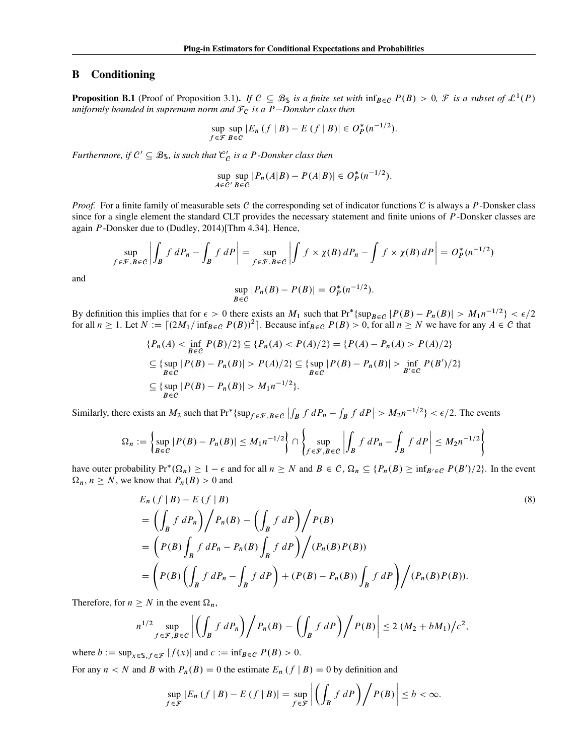## B Conditioning

**Proposition B.1** (Proof of Proposition 3.1). If  $C \subseteq B_{\mathsf{S}}$  is a finite set with  $\inf_{B \in C} P(B) > 0$ , F is a subset of  $\mathcal{L}^1(P)$ *uniformly bounded in supremum norm and*  $F_c$  *is a*  $P$ -Donsker class then

$$
\sup_{f \in \mathcal{F}} \sup_{B \in \mathcal{C}} |E_n(f \mid B) - E(f \mid B)| \in O_P^*(n^{-1/2}).
$$

*Furthermore, if*  $C' \subseteq B_{\mathbb{S}}$ *, is such that*  $\mathcal{C}'$ *is a* P*-Donsker class then*

$$
\sup_{A\in\mathcal{C}}\sup_{B\in\mathcal{C}}|P_n(A|B)-P(A|B)|\in O_P^*(n^{-1/2}).
$$

*Proof.* For a finite family of measurable sets C the corresponding set of indicator functions  $\mathcal C$  is always a P-Donsker class since for a single element the standard CLT provides the necessary statement and finite unions of  $P$ -Donsker classes are again P-Donsker due to (Dudley, 2014)[Thm 4.34]. Hence,

$$
\sup_{\epsilon \in \mathcal{F}, B \in \mathcal{C}} \left| \int_B f \, dP_n - \int_B f \, dP \right| = \sup_{f \in \mathcal{F}, B \in \mathcal{C}} \left| \int f \times \chi(B) \, dP_n - \int f \times \chi(B) \, dP \right| = O_P^*(n^{-1/2})
$$

and

 $\boldsymbol{f}$ 

<span id="page-2-0"></span>
$$
\sup_{B \in C} |P_n(B) - P(B)| = O_P^*(n^{-1/2}).
$$

By definition this implies that for  $\epsilon > 0$  there exists an  $M_1$  such that  $Pr^*$ {sup<sub> $B \in \mathcal{C}$ </sub>  $|P(B) - P_n(B)| > M_1 n^{-1/2}$ } <  $\epsilon/2$ for all  $n \ge 1$ . Let  $N := [(2M_1/\inf_{B \in \mathcal{C}} P(B))^2]$ . Because  $\inf_{B \in \mathcal{C}} P(B) > 0$ , for all  $n \ge N$  we have for any  $A \in \mathcal{C}$  that

$$
\{P_n(A) < \inf_{B \in \mathcal{C}} P(B)/2\} \subseteq \{P_n(A) < P(A)/2\} = \{P(A) - P_n(A) > P(A)/2\}
$$
\n
$$
\subseteq \{\sup_{B \in \mathcal{C}} |P(B) - P_n(B)| > P(A)/2\} \subseteq \{\sup_{B \in \mathcal{C}} |P(B) - P_n(B)| > \inf_{B' \in \mathcal{C}} P(B')/2\}
$$
\n
$$
\subseteq \{\sup_{B \in \mathcal{C}} |P(B) - P_n(B)| > M_1 n^{-1/2}\}.
$$

Similarly, there exists an  $M_2$  such that  $Pr^*$ { $sup_{f \in \mathcal{F}, B \in \mathcal{C}}$   $\left| \int_B f dP_n - \int_B f dP \right| > M_2 n^{-1/2}$ } <  $\epsilon/2$ . The events

$$
\Omega_n := \left\{ \sup_{B \in \mathcal{C}} |P(B) - P_n(B)| \le M_1 n^{-1/2} \right\} \cap \left\{ \sup_{f \in \mathcal{F}, B \in \mathcal{C}} \left| \int_B f \, dP_n - \int_B f \, dP \right| \le M_2 n^{-1/2} \right\}
$$

have outer probability  $Pr^*(\Omega_n) \geq 1 - \epsilon$  and for all  $n \geq N$  and  $B \in \mathcal{C}$ ,  $\Omega_n \subseteq \{P_n(B) \geq \inf_{B' \in \mathcal{C}} P(B')/2\}$ . In the event  $\Omega_n$ ,  $n \geq N$ , we know that  $P_n(B) > 0$  and

$$
E_n(f|B) - E(f|B)
$$
\n
$$
= \left(\int_B f dP_n\right) / P_n(B) - \left(\int_B f dP\right) / P(B)
$$
\n
$$
= \left(P(B) \int_B f dP_n - P_n(B) \int_B f dP\right) / (P_n(B)P(B))
$$
\n
$$
= \left(P(B) \left(\int_B f dP_n - \int_B f dP\right) + (P(B) - P_n(B)) \int_B f dP\right) / (P_n(B)P(B)).
$$
\n(8)

Therefore, for  $n \geq N$  in the event  $\Omega_n$ ,

$$
n^{1/2} \sup_{f \in \mathcal{F}, B \in \mathcal{C}} \left| \left( \int_B f \, dP_n \right) \right/ P_n(B) - \left( \int_B f \, dP \right) \right/ P(B) \left| \leq 2 \left( M_2 + bM_1 \right) \right/ c^2,
$$

where  $b := \sup_{x \in \mathcal{S}, f \in \mathcal{F}} |f(x)|$  and  $c := \inf_{B \in \mathcal{C}} P(B) > 0$ .

For any  $n < N$  and B with  $P_n(B) = 0$  the estimate  $E_n(f | B) = 0$  by definition and

$$
\sup_{f \in \mathcal{F}} |E_n(f \mid B) - E(f \mid B)| = \sup_{f \in \mathcal{F}} \left| \left( \int_B f \, dP \right) \right/ P(B) \right| \le b < \infty.
$$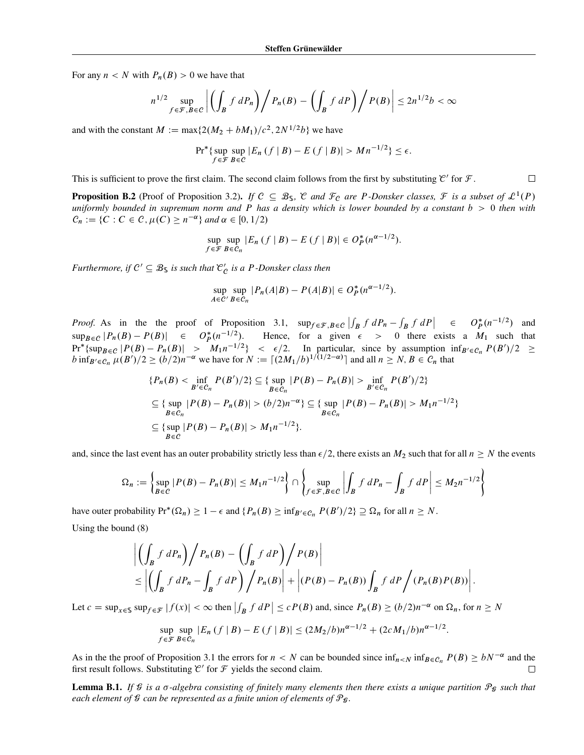For any  $n < N$  with  $P_n(B) > 0$  we have that

$$
n^{1/2} \sup_{f \in \mathcal{F}, B \in \mathcal{C}} \left| \left( \int_B f \, dP_n \right) \right/ P_n(B) - \left( \int_B f \, dP \right) \right/ P(B) \left| \le 2n^{1/2} b < \infty \right|
$$

and with the constant  $M := \max\{2(M_2 + bM_1)/c^2, 2N^{1/2}b\}$  we have

$$
\Pr^* \{ \sup_{f \in \mathcal{F}} \sup_{B \in \mathcal{C}} |E_n(f \mid B) - E(f \mid B)| > Mn^{-1/2} \} \le \epsilon.
$$

 $\Box$ 

This is sufficient to prove the first claim. The second claim follows from the first by substituting  $\mathcal{C}'$  for  $\mathcal{F}$ .

**Proposition B.2** (Proof of Proposition 3.2). If  $C \subseteq \mathcal{B}_{S}$ ,  $\mathcal{C}$  and  $\mathcal{F}_{C}$  are P-Donsker classes,  $\mathcal{F}$  is a subset of  $\mathcal{L}^{1}(P)$ *uniformly bounded in supremum norm and* P *has a density which is lower bounded by a constant* b > 0 *then with*  $C_n := \{ C : C \in \mathcal{C}, \mu(C) \geq n^{-\alpha} \}$  and  $\alpha \in [0, 1/2)$ 

$$
\sup_{f \in \mathcal{F}} \sup_{B \in C_n} |E_n(f \mid B) - E(f \mid B)| \in O_P^*(n^{\alpha - 1/2}).
$$

*Furthermore, if*  $C' \subseteq B_{\$}$  *is such that*  $C'$ *is a* P*-Donsker class then*

$$
\sup_{A \in \mathcal{C}'} \sup_{B \in \mathcal{C}_n} |P_n(A|B) - P(A|B)| \in O_P^*(n^{\alpha - 1/2}).
$$

*Proof.* As in the the proof of Proposition 3.1,  $\sup_{f \in \mathcal{F}, B \in \mathcal{C}} \left| \int_B f dP_n - \int_B f dP \right| \in O_P^*(n^{-1/2})$  and  $\sup_{B \in \mathcal{C}} |P_n(B) - P(B)| \in O_P^*(n^{-1/2}).$  Hence, for a given  $\epsilon > 0$  there exists a  $M_1$  such that  $Pr^* \{ \sup_{B \in \mathcal{C}} |P(B) - P_n(B)| > M_1 n^{-1/2} \}$  <  $\epsilon/2$ . In particular, since by assumption  $\inf_{B' \in \mathcal{C}_n} P(B')/2 \ge$  $b$  inf<sub>B'</sub> $\epsilon C_n$   $\mu(B')/2 \ge (b/2)n^{-\alpha}$  we have for  $N := [(2M_1/b)^{1/(1/2-\alpha)}]$  and all  $n \ge N$ ,  $B \in C_n$  that

$$
\{P_n(B) < \inf_{B' \in C_n} P(B')/2\} \subseteq \{ \sup_{B \in C_n} |P(B) - P_n(B)| > \inf_{B' \in C_n} P(B')/2\}
$$
\n
$$
\subseteq \{ \sup_{B \in C_n} |P(B) - P_n(B)| > (b/2)n^{-\alpha} \} \subseteq \{ \sup_{B \in C_n} |P(B) - P_n(B)| > M_1 n^{-1/2} \}
$$
\n
$$
\subseteq \{ \sup_{B \in C} |P(B) - P_n(B)| > M_1 n^{-1/2} \}.
$$

and, since the last event has an outer probability strictly less than  $\epsilon/2$ , there exists an  $M_2$  such that for all  $n \ge N$  the events

$$
\Omega_n := \left\{ \sup_{B \in \mathcal{C}} |P(B) - P_n(B)| \le M_1 n^{-1/2} \right\} \cap \left\{ \sup_{f \in \mathcal{F}, B \in \mathcal{C}} \left| \int_B f \, dP_n - \int_B f \, dP \right| \le M_2 n^{-1/2} \right\}
$$

have outer probability  $Pr^*(\Omega_n) \geq 1 - \epsilon$  and  $\{P_n(B) \geq inf_{B' \in C_n} P(B')/2\} \supseteq \Omega_n$  for all  $n \geq N$ .

Using the bound [\(8\)](#page-2-0)

$$
\left| \left( \int_B f dP_n \right) / P_n(B) - \left( \int_B f dP \right) / P(B) \right|
$$
  
\n
$$
\leq \left| \left( \int_B f dP_n - \int_B f dP \right) / P_n(B) \right| + \left| (P(B) - P_n(B)) \int_B f dP \right/ (P_n(B) P(B)) \right|.
$$

Let  $c = \sup_{x \in \mathcal{S}} \sup_{f \in \mathcal{F}} |f(x)| < \infty$  then  $\left| \int_B f dP \right| \le c P(B)$  and, since  $P_n(B) \ge (b/2)n^{-\alpha}$  on  $\Omega_n$ , for  $n \ge N$ 

$$
\sup_{f \in \mathcal{F}} \sup_{B \in C_n} |E_n(f \mid B) - E(f \mid B)| \le (2M_2/b)n^{\alpha - 1/2} + (2cM_1/b)n^{\alpha - 1/2}.
$$

As in the the proof of Proposition 3.1 the errors for  $n < N$  can be bounded since  $\inf_{n \le N} \inf_{B \in C_n} P(B) \ge bN^{-\alpha}$  and the first result follows. Substituting  $\mathcal{C}'$  for  $\mathcal F$  yields the second claim. П

Lemma B.1. If  $\mathcal G$  is a  $\sigma$ -algebra consisting of finitely many elements then there exists a unique partition  $\mathcal P_{\mathcal G}$  such that *each element of*  $\mathcal G$  *can be represented as a finite union of elements of*  $\mathcal P$  $\mathcal G$ *.*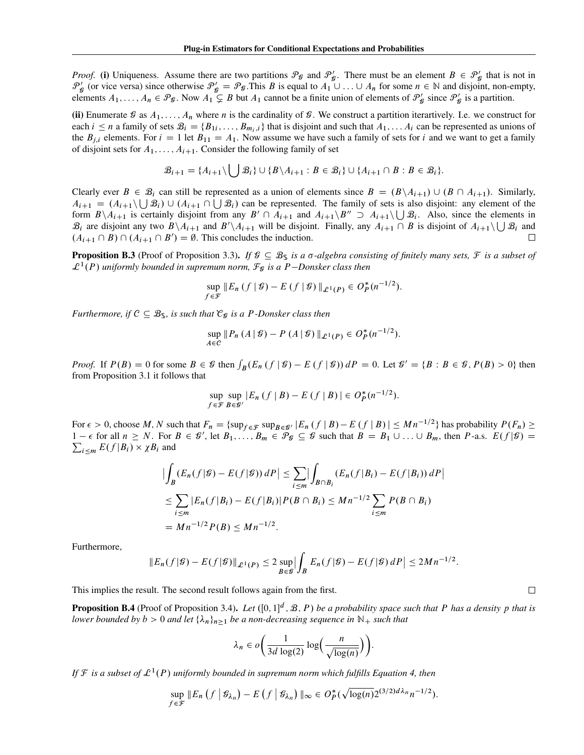*Proof.* (i) Uniqueness. Assume there are two partitions  $\mathcal{P}_{g}$  and  $\mathcal{P}'_{g}$ . There must be an element  $B \in \mathcal{P}'_{g}$  that is not in  $\mathcal{P}'_g$  (or vice versa) since otherwise  $\mathcal{P}'_g = \mathcal{P}_g$ . This B is equal to  $A_1 \cup ... \cup A_n$  for some  $n \in \mathbb{N}$  and disjoint, non-empty, elements  $A_1, \ldots, A_n \in \mathcal{P}_{\mathcal{G}}$ . Now  $A_1 \subsetneq B$  but  $A_1$  cannot be a finite union of elements of  $\mathcal{P}'_{\mathcal{G}}$  since  $\mathcal{P}'_{\mathcal{G}}$  is a partition.

(ii) Enumerate  $\mathcal G$  as  $A_1, \ldots, A_n$  where n is the cardinality of  $\mathcal G$ . We construct a partition iterartively. I.e. we construct for each  $i \leq n$  a family of sets  $B_i = \{B_{1i}, \ldots, B_{m_i,i}\}\$ that is disjoint and such that  $A_1, \ldots, A_i$  can be represented as unions of the  $B_{j,i}$  elements. For  $i = 1$  let  $B_{11} = A_1$ . Now assume we have such a family of sets for i and we want to get a family of disjoint sets for  $A_1, \ldots, A_{i+1}$ . Consider the following family of set

$$
\mathcal{B}_{i+1} = \{A_{i+1} \setminus \bigcup \mathcal{B}_i\} \cup \{B \setminus A_{i+1} : B \in \mathcal{B}_i\} \cup \{A_{i+1} \cap B : B \in \mathcal{B}_i\}.
$$

Clearly ever  $B \in \mathcal{B}_i$  can still be represented as a union of elements since  $B = (B \setminus A_{i+1}) \cup (B \cap A_{i+1})$ . Similarly,  $A_{i+1} = (A_{i+1} \setminus \bigcup \mathcal{B}_i) \cup (A_{i+1} \cap \bigcup \mathcal{B}_i)$  can be represented. The family of sets is also disjoint: any element of the form  $B \setminus A_{i+1}$  is certainly disjoint from any  $B' \cap A_{i+1}$  and  $A_{i+1} \setminus B'' \supset A_{i+1} \setminus \bigcup \mathcal{B}_i$ . Also, since the elements in  $\mathcal{B}_i$  are disjoint any two  $B \setminus A_{i+1}$  and  $B' \setminus A_{i+1}$  will be disjoint. Finally, any  $A_{i+1} \cap B$  is disjoint of  $A_{i+1} \setminus \bigcup \mathcal{B}_i$  and  $(A_{i+1} \cap B) \cap (A_{i+1} \cap B') = \emptyset$ . This concludes the induction.  $\Box$ 

**Proposition B.3** (Proof of Proposition 3.3). If  $\mathcal{G} \subseteq \mathcal{B}_{\mathsf{S}}$  *is a*  $\sigma$ -algebra consisting of finitely many sets,  $\mathcal{F}$  *is a subset of*  $\mathcal{L}^1(P)$  uniformly bounded in supremum norm,  $\mathcal{F}_{\mathcal{G}}$  is a P-Donsker class then

$$
\sup_{f \in \mathcal{F}} \| E_n(f \mid \mathcal{G}) - E(f \mid \mathcal{G}) \|_{\mathcal{L}^1(P)} \in O_P^*(n^{-1/2}).
$$

*Furthermore, if*  $C \subseteq \mathcal{B}_{\mathsf{S}}$ *, is such that*  $\mathcal{C}_{\mathcal{G}}$  *is a P-Donsker class then* 

$$
\sup_{A\in\mathcal{C}}\|P_n(A\,|\,\mathcal{G})-P(A\,|\,\mathcal{G})\,\|_{\mathcal{L}^1(P)}\in O_P^*(n^{-1/2}).
$$

*Proof.* If  $P(B) = 0$  for some  $B \in \mathcal{G}$  then  $\int_B (E_n(f | \mathcal{G}) - E(f | \mathcal{G})) dP = 0$ . Let  $\mathcal{G}' = \{B : B \in \mathcal{G}, P(B) > 0\}$  then from Proposition 3.1 it follows that

$$
\sup_{f \in \mathcal{F}} \sup_{B \in \mathcal{B}'} |E_n(f \mid B) - E(f \mid B)| \in O_P^*(n^{-1/2}).
$$

For  $\epsilon > 0$ , choose M, N such that  $F_n = \{ \sup_{f \in \mathcal{F}} \sup_{B \in \mathcal{G}'} |E_n(f \mid B) - E(f \mid B)| \leq Mn^{-1/2} \}$  has probability  $P(F_n) \ge$  $1 - \epsilon$  for all  $n \ge N$ . For  $B \in \mathcal{G}'$ , let  $B_1, \ldots, B_m \in \mathcal{P}_{\mathcal{G}} \subseteq \mathcal{G}$  such that  $B = B_1 \cup \ldots \cup B_m$ , then P-a.s.  $E(f | \mathcal{G}) =$  $\sum_{i \leq m} E(f|B_i) \times \chi B_i$  and

$$
\left| \int_{B} (E_n(f|\mathcal{G}) - E(f|\mathcal{G})) dP \right| \leq \sum_{i \leq m} \left| \int_{B \cap B_i} (E_n(f|B_i) - E(f|B_i)) dP \right|
$$
  
\n
$$
\leq \sum_{i \leq m} |E_n(f|B_i) - E(f|B_i)| P(B \cap B_i) \leq Mn^{-1/2} \sum_{i \leq m} P(B \cap B_i)
$$
  
\n
$$
= Mn^{-1/2} P(B) \leq Mn^{-1/2}.
$$

Furthermore,

$$
\|E_n(f|\mathcal{G})-E(f|\mathcal{G})\|_{\mathcal{L}^1(P)}\leq 2\sup_{B\in\mathcal{G}}\Big|\int_B E_n(f|\mathcal{G})-E(f|\mathcal{G})\,dP\Big|\leq 2Mn^{-1/2}.
$$

 $\Box$ 

This implies the result. The second result follows again from the first.

**Proposition B.4** (Proof of Proposition 3.4). Let  $([0, 1]^d, \mathcal{B}, P)$  be a probability space such that P has a density p that is *lower bounded by*  $b > 0$  *and let*  $\{\lambda_n\}_{n \geq 1}$  *be a non-decreasing sequence in*  $\mathbb{N}_+$  *such that* 

$$
\lambda_n \in o\bigg(\frac{1}{3d \log(2)} \log\bigg(\frac{n}{\sqrt{\log(n)}}\bigg)\bigg).
$$

If  $\mathcal F$  is a subset of  $\mathcal L^1(P)$  uniformly bounded in supremum norm which fulfills Equation 4, then

$$
\sup_{f\in\mathcal{F}}\|E_n\left(f\big|\mathcal{G}_{\lambda_n}\right)-E\left(f\big|\mathcal{G}_{\lambda_n}\right)\|_{\infty}\in O_P^*(\sqrt{\log(n)}2^{(3/2)d\lambda_n}n^{-1/2}).
$$